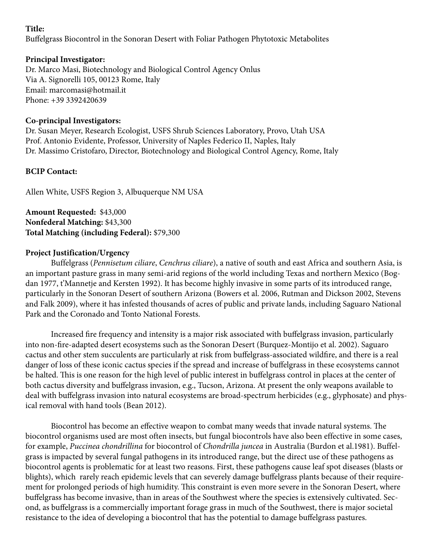## **Title:**

Buffelgrass Biocontrol in the Sonoran Desert with Foliar Pathogen Phytotoxic Metabolites

## **Principal Investigator:**

Dr. Marco Masi, Biotechnology and Biological Control Agency Onlus Via A. Signorelli 105, 00123 Rome, Italy Email: marcomasi@hotmail.it Phone: +39 3392420639

## **Co-principal Investigators:**

Dr. Susan Meyer, Research Ecologist, USFS Shrub Sciences Laboratory, Provo, Utah USA Prof. Antonio Evidente, Professor, University of Naples Federico II, Naples, Italy Dr. Massimo Cristofaro, Director, Biotechnology and Biological Control Agency, Rome, Italy

## **BCIP Contact:**

Allen White, USFS Region 3, Albuquerque NM USA

**Amount Requested:** \$43,000 **Nonfederal Matching:** \$43,300 **Total Matching (including Federal):** \$79,300

## **Project Justification/Urgency**

Buffelgrass (*Pennisetum ciliare*, *Cenchrus ciliare*), a native of south and east Africa and southern Asia, is an important pasture grass in many semi-arid regions of the world including Texas and northern Mexico (Bogdan 1977, t'Mannetje and Kersten 1992). It has become highly invasive in some parts of its introduced range, particularly in the Sonoran Desert of southern Arizona (Bowers et al. 2006, Rutman and Dickson 2002, Stevens and Falk 2009), where it has infested thousands of acres of public and private lands, including Saguaro National Park and the Coronado and Tonto National Forests.

Increased fire frequency and intensity is a major risk associated with buffelgrass invasion, particularly into non-fire-adapted desert ecosystems such as the Sonoran Desert (Burquez-Montijo et al. 2002). Saguaro cactus and other stem succulents are particularly at risk from buffelgrass-associated wildfire, and there is a real danger of loss of these iconic cactus species if the spread and increase of buffelgrass in these ecosystems cannot be halted. This is one reason for the high level of public interest in buffelgrass control in places at the center of both cactus diversity and buffelgrass invasion, e.g., Tucson, Arizona. At present the only weapons available to deal with buffelgrass invasion into natural ecosystems are broad-spectrum herbicides (e.g., glyphosate) and physical removal with hand tools (Bean 2012).

Biocontrol has become an effective weapon to combat many weeds that invade natural systems. The biocontrol organisms used are most often insects, but fungal biocontrols have also been effective in some cases, for example, *Puccinea chondrillina* for biocontrol of *Chondrilla juncea* in Australia (Burdon et al.1981). Buffelgrass is impacted by several fungal pathogens in its introduced range, but the direct use of these pathogens as biocontrol agents is problematic for at least two reasons. First, these pathogens cause leaf spot diseases (blasts or blights), which rarely reach epidemic levels that can severely damage buffelgrass plants because of their requirement for prolonged periods of high humidity. This constraint is even more severe in the Sonoran Desert, where buffelgrass has become invasive, than in areas of the Southwest where the species is extensively cultivated. Second, as buffelgrass is a commercially important forage grass in much of the Southwest, there is major societal resistance to the idea of developing a biocontrol that has the potential to damage buffelgrass pastures.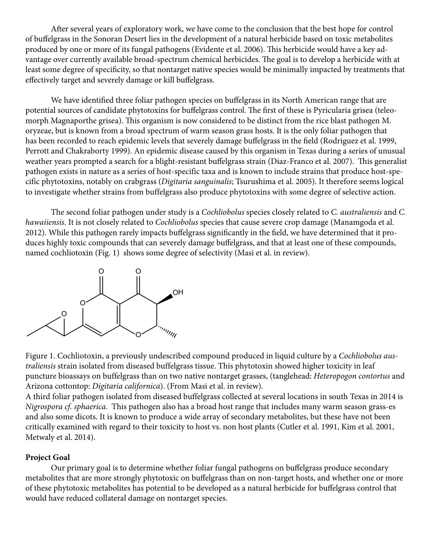After several years of exploratory work, we have come to the conclusion that the best hope for control of buffelgrass in the Sonoran Desert lies in the development of a natural herbicide based on toxic metabolites produced by one or more of its fungal pathogens (Evidente et al. 2006). This herbicide would have a key advantage over currently available broad-spectrum chemical herbicides. The goal is to develop a herbicide with at least some degree of specificity, so that nontarget native species would be minimally impacted by treatments that effectively target and severely damage or kill buffelgrass.

We have identified three foliar pathogen species on buffelgrass in its North American range that are potential sources of candidate phytotoxins for buffelgrass control. The first of these is Pyricularia grisea (teleomorph Magnaporthe grisea). This organism is now considered to be distinct from the rice blast pathogen M. oryzeae, but is known from a broad spectrum of warm season grass hosts. It is the only foliar pathogen that has been recorded to reach epidemic levels that severely damage buffelgrass in the field (Rodriguez et al. 1999, Perrott and Chakraborty 1999). An epidemic disease caused by this organism in Texas during a series of unusual weather years prompted a search for a blight-resistant buffelgrass strain (Diaz-Franco et al. 2007). This generalist pathogen exists in nature as a series of host-specific taxa and is known to include strains that produce host-specific phytotoxins, notably on crabgrass (*Digitaria sanguinalis*; Tsurushima et al. 2005). It therefore seems logical to investigate whether strains from buffelgrass also produce phytotoxins with some degree of selective action.

The second foliar pathogen under study is a *Cochliobolus* species closely related to *C. australiensis* and *C. hawaiiensis*. It is not closely related to *Cochliobolus* species that cause severe crop damage (Manamgoda et al. 2012). While this pathogen rarely impacts buffelgrass significantly in the field, we have determined that it produces highly toxic compounds that can severely damage buffelgrass, and that at least one of these compounds, named cochliotoxin (Fig. 1) shows some degree of selectivity (Masi et al. in review).



Figure 1. Cochliotoxin, a previously undescribed compound produced in liquid culture by a *Cochliobolus australiensis* strain isolated from diseased buffelgrass tissue. This phytotoxin showed higher toxicity in leaf puncture bioassays on buffelgrass than on two native nontarget grasses, (tanglehead: *Heteropogon contortus* and Arizona cottontop: *Digitaria californica*). (From Masi et al. in review).

A third foliar pathogen isolated from diseased buffelgrass collected at several locations in south Texas in 2014 is *Nigrospora cf. sphaerica*. This pathogen also has a broad host range that includes many warm season grass-es and also some dicots. It is known to produce a wide array of secondary metabolites, but these have not been critically examined with regard to their toxicity to host vs. non host plants (Cutler et al. 1991, Kim et al. 2001, Metwaly et al. 2014).

### **Project Goal**

Our primary goal is to determine whether foliar fungal pathogens on buffelgrass produce secondary metabolites that are more strongly phytotoxic on buffelgrass than on non-target hosts, and whether one or more of these phytotoxic metabolites has potential to be developed as a natural herbicide for buffelgrass control that would have reduced collateral damage on nontarget species.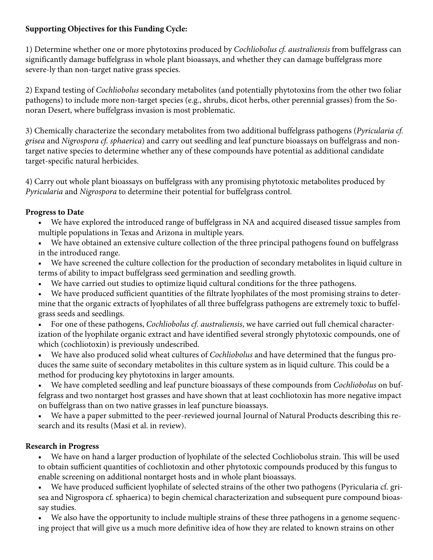# **Supporting Objectives for this Funding Cycle:**

1) Determine whether one or more phytotoxins produced by *Cochliobolus cf. australiensis* from buffelgrass can significantly damage buffelgrass in whole plant bioassays, and whether they can damage buffelgrass more severe-ly than non-target native grass species.

2) Expand testing of *Cochliobolus* secondary metabolites (and potentially phytotoxins from the other two foliar pathogens) to include more non-target species (e.g., shrubs, dicot herbs, other perennial grasses) from the Sonoran Desert, where buffelgrass invasion is most problematic.

3) Chemically characterize the secondary metabolites from two additional buffelgrass pathogens (*Pyricularia cf. grisea* and *Nigrospora cf. sphaerica*) and carry out seedling and leaf puncture bioassays on buffelgrass and nontarget native species to determine whether any of these compounds have potential as additional candidate target-specific natural herbicides.

4) Carry out whole plant bioassays on buffelgrass with any promising phytotoxic metabolites produced by *Pyricularia* and *Nigrospora* to determine their potential for buffelgrass control.

# **Progress to Date**

- We have explored the introduced range of buffelgrass in NA and acquired diseased tissue samples from multiple populations in Texas and Arizona in multiple years.
- We have obtained an extensive culture collection of the three principal pathogens found on buffelgrass in the introduced range.
- We have screened the culture collection for the production of secondary metabolites in liquid culture in terms of ability to impact buffelgrass seed germination and seedling growth.
- We have carried out studies to optimize liquid cultural conditions for the three pathogens.
- We have produced sufficient quantities of the filtrate lyophilates of the most promising strains to determine that the organic extracts of lyophilates of all three buffelgrass pathogens are extremely toxic to buffelgrass seeds and seedlings.
- For one of these pathogens, *Cochliobolus cf. australiensis*, we have carried out full chemical characterization of the lyophilate organic extract and have identified several strongly phytotoxic compounds, one of which (cochliotoxin) is previously undescribed.
- We have also produced solid wheat cultures of *Cochliobolus* and have determined that the fungus produces the same suite of secondary metabolites in this culture system as in liquid culture. This could be a method for producing key phytotoxins in larger amounts.
- We have completed seedling and leaf puncture bioassays of these compounds from *Cochliobolus* on buffelgrass and two nontarget host grasses and have shown that at least cochliotoxin has more negative impact on buffelgrass than on two native grasses in leaf puncture bioassays.
- We have a paper submitted to the peer-reviewed journal Journal of Natural Products describing this research and its results (Masi et al. in review).

# **Research in Progress**

• We have on hand a larger production of lyophilate of the selected Cochliobolus strain. This will be used to obtain sufficient quantities of cochliotoxin and other phytotoxic compounds produced by this fungus to enable screening on additional nontarget hosts and in whole plant bioassays.

We have produced sufficient lyophilate of selected strains of the other two pathogens (Pyricularia cf. grisea and Nigrospora cf. sphaerica) to begin chemical characterization and subsequent pure compound bioassay studies.

• We also have the opportunity to include multiple strains of these three pathogens in a genome sequencing project that will give us a much more definitive idea of how they are related to known strains on other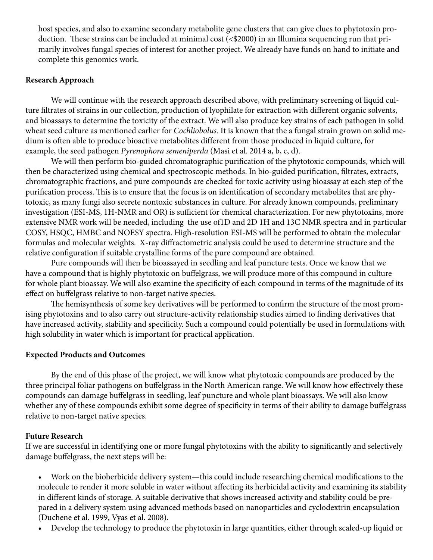host species, and also to examine secondary metabolite gene clusters that can give clues to phytotoxin production. These strains can be included at minimal cost (<\$2000) in an Illumina sequencing run that primarily involves fungal species of interest for another project. We already have funds on hand to initiate and complete this genomics work.

#### **Research Approach**

We will continue with the research approach described above, with preliminary screening of liquid culture filtrates of strains in our collection, production of lyophilate for extraction with different organic solvents, and bioassays to determine the toxicity of the extract. We will also produce key strains of each pathogen in solid wheat seed culture as mentioned earlier for *Cochliobolus*. It is known that the a fungal strain grown on solid medium is often able to produce bioactive metabolites different from those produced in liquid culture, for example, the seed pathogen *Pyrenophora semeniperda* (Masi et al. 2014 a, b, c, d).

We will then perform bio-guided chromatographic purification of the phytotoxic compounds, which will then be characterized using chemical and spectroscopic methods. In bio-guided purification, filtrates, extracts, chromatographic fractions, and pure compounds are checked for toxic activity using bioassay at each step of the purification process. This is to ensure that the focus is on identification of secondary metabolites that are phytotoxic, as many fungi also secrete nontoxic substances in culture. For already known compounds, preliminary investigation (ESI-MS, 1H-NMR and OR) is sufficient for chemical characterization. For new phytotoxins, more extensive NMR work will be needed, including the use of1D and 2D 1H and 13C NMR spectra and in particular COSY, HSQC, HMBC and NOESY spectra. High-resolution ESI-MS will be performed to obtain the molecular formulas and molecular weights. X-ray diffractometric analysis could be used to determine structure and the relative configuration if suitable crystalline forms of the pure compound are obtained.

Pure compounds will then be bioassayed in seedling and leaf puncture tests. Once we know that we have a compound that is highly phytotoxic on buffelgrass, we will produce more of this compound in culture for whole plant bioassay. We will also examine the specificity of each compound in terms of the magnitude of its effect on buffelgrass relative to non-target native species.

The hemisynthesis of some key derivatives will be performed to confirm the structure of the most promising phytotoxins and to also carry out structure-activity relationship studies aimed to finding derivatives that have increased activity, stability and specificity. Such a compound could potentially be used in formulations with high solubility in water which is important for practical application.

### **Expected Products and Outcomes**

By the end of this phase of the project, we will know what phytotoxic compounds are produced by the three principal foliar pathogens on buffelgrass in the North American range. We will know how effectively these compounds can damage buffelgrass in seedling, leaf puncture and whole plant bioassays. We will also know whether any of these compounds exhibit some degree of specificity in terms of their ability to damage buffelgrass relative to non-target native species.

### **Future Research**

If we are successful in identifying one or more fungal phytotoxins with the ability to significantly and selectively damage buffelgrass, the next steps will be:

• Work on the bioherbicide delivery system—this could include researching chemical modifications to the molecule to render it more soluble in water without affecting its herbicidal activity and examining its stability in different kinds of storage. A suitable derivative that shows increased activity and stability could be prepared in a delivery system using advanced methods based on nanoparticles and cyclodextrin encapsulation (Duchene et al. 1999, Vyas et al. 2008).

• Develop the technology to produce the phytotoxin in large quantities, either through scaled-up liquid or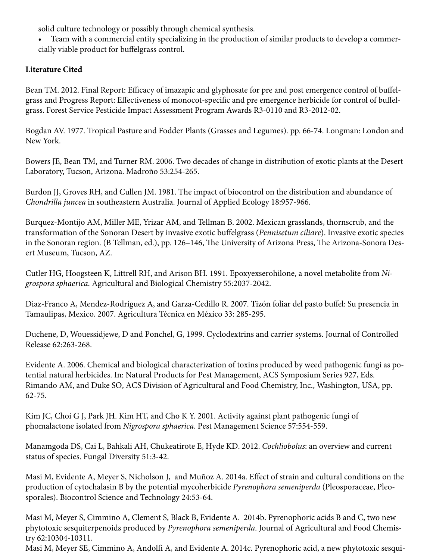solid culture technology or possibly through chemical synthesis.

• Team with a commercial entity specializing in the production of similar products to develop a commercially viable product for buffelgrass control.

# **Literature Cited**

Bean TM. 2012. Final Report: Efficacy of imazapic and glyphosate for pre and post emergence control of buffelgrass and Progress Report: Effectiveness of monocot-specific and pre emergence herbicide for control of buffelgrass. Forest Service Pesticide Impact Assessment Program Awards R3-0110 and R3-2012-02.

Bogdan AV. 1977. Tropical Pasture and Fodder Plants (Grasses and Legumes). pp. 66-74. Longman: London and New York.

Bowers JE, Bean TM, and Turner RM. 2006. Two decades of change in distribution of exotic plants at the Desert Laboratory, Tucson, Arizona. Madroño 53:254-265.

Burdon JJ, Groves RH, and Cullen JM. 1981. The impact of biocontrol on the distribution and abundance of *Chondrilla juncea* in southeastern Australia. Journal of Applied Ecology 18:957-966.

Burquez-Montijo AM, Miller ME, Yrizar AM, and Tellman B. 2002. Mexican grasslands, thornscrub, and the transformation of the Sonoran Desert by invasive exotic buffelgrass (*Pennisetum ciliare*). Invasive exotic species in the Sonoran region. (B Tellman, ed.), pp. 126–146, The University of Arizona Press, The Arizona-Sonora Desert Museum, Tucson, AZ.

Cutler HG, Hoogsteen K, Littrell RH, and Arison BH. 1991. Epoxyexserohilone, a novel metabolite from *Nigrospora sphaerica*. Agricultural and Biological Chemistry 55:2037-2042.

Diaz-Franco A, Mendez-Rodríguez A, and Garza-Cedillo R. 2007. Tizón foliar del pasto buffel: Su presencia in Tamaulipas, Mexico. 2007. Agricultura Técnica en México 33: 285-295.

Duchene, D, Wouessidjewe, D and Ponchel, G, 1999. Cyclodextrins and carrier systems. Journal of Controlled Release 62:263-268.

Evidente A. 2006. Chemical and biological characterization of toxins produced by weed pathogenic fungi as potential natural herbicides. In: Natural Products for Pest Management, ACS Symposium Series 927, Eds. Rimando AM, and Duke SO, ACS Division of Agricultural and Food Chemistry, Inc., Washington, USA, pp. 62-75.

Kim JC, Choi G J, Park JH. Kim HT, and Cho K Y. 2001. Activity against plant pathogenic fungi of phomalactone isolated from *Nigrospora sphaerica*. Pest Management Science 57:554-559.

Manamgoda DS, Cai L, Bahkali AH, Chukeatirote E, Hyde KD. 2012. *Cochliobolus*: an overview and current status of species. Fungal Diversity 51:3-42.

Masi M, Evidente A, Meyer S, Nicholson J, and Muñoz A. 2014a. Effect of strain and cultural conditions on the production of cytochalasin B by the potential mycoherbicide *Pyrenophora semeniperda* (Pleosporaceae, Pleosporales). Biocontrol Science and Technology 24:53-64.

Masi M, Meyer S, Cimmino A, Clement S, Black B, Evidente A. 2014b. Pyrenophoric acids B and C, two new phytotoxic sesquiterpenoids produced by *Pyrenophora semeniperda*. Journal of Agricultural and Food Chemistry 62:10304-10311.

Masi M, Meyer SE, Cimmino A, Andolfi A, and Evidente A. 2014c. Pyrenophoric acid, a new phytotoxic sesqui-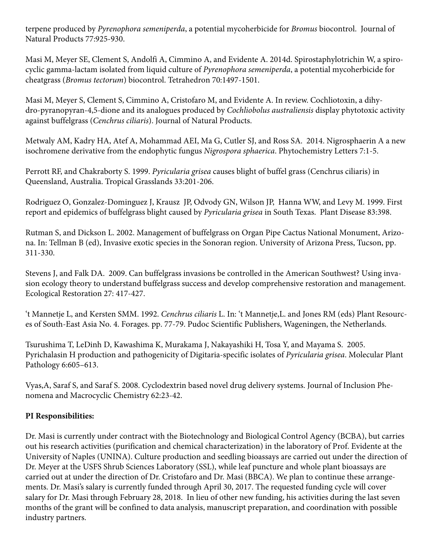terpene produced by *Pyrenophora semeniperda*, a potential mycoherbicide for *Bromus* biocontrol. Journal of Natural Products 77:925-930.

Masi M, Meyer SE, Clement S, Andolfi A, Cimmino A, and Evidente A. 2014d. Spirostaphylotrichin W, a spirocyclic gamma-lactam isolated from liquid culture of *Pyrenophora semeniperda*, a potential mycoherbicide for cheatgrass (*Bromus tectorum*) biocontrol. Tetrahedron 70:1497-1501.

Masi M, Meyer S, Clement S, Cimmino A, Cristofaro M, and Evidente A. In review. Cochliotoxin, a dihydro-pyranopyran-4,5-dione and its analogues produced by *Cochliobolus australiensis* display phytotoxic activity against buffelgrass (*Cenchrus ciliaris*). Journal of Natural Products.

Metwaly AM, Kadry HA, Atef A, Mohammad AEI, Ma G, Cutler SJ, and Ross SA. 2014. Nigrosphaerin A a new isochromene derivative from the endophytic fungus *Nigrospora sphaerica*. Phytochemistry Letters 7:1-5.

Perrott RF, and Chakraborty S. 1999. *Pyricularia grisea* causes blight of buffel grass (Cenchrus ciliaris) in Queensland, Australia. Tropical Grasslands 33:201-206.

Rodriguez O, Gonzalez-Dominguez J, Krausz JP, Odvody GN, Wilson JP, Hanna WW, and Levy M. 1999. First report and epidemics of buffelgrass blight caused by *Pyricularia grisea* in South Texas. Plant Disease 83:398.

Rutman S, and Dickson L. 2002. Management of buffelgrass on Organ Pipe Cactus National Monument, Arizona. In: Tellman B (ed), Invasive exotic species in the Sonoran region. University of Arizona Press, Tucson, pp. 311-330.

Stevens J, and Falk DA. 2009. Can buffelgrass invasions be controlled in the American Southwest? Using invasion ecology theory to understand buffelgrass success and develop comprehensive restoration and management. Ecological Restoration 27: 417-427.

't Mannetje L, and Kersten SMM. 1992. *Cenchrus ciliaris* L. In: 't Mannetje,L. and Jones RM (eds) Plant Resources of South-East Asia No. 4. Forages. pp. 77-79. Pudoc Scientific Publishers, Wageningen, the Netherlands.

Tsurushima T, LeDinh D, Kawashima K, Murakama J, Nakayashiki H, Tosa Y, and Mayama S. 2005. Pyrichalasin H production and pathogenicity of Digitaria-specific isolates of *Pyricularia grisea*. Molecular Plant Pathology 6:605–613.

Vyas,A, Saraf S, and Saraf S. 2008. Cyclodextrin based novel drug delivery systems. Journal of Inclusion Phenomena and Macrocyclic Chemistry 62:23-42.

# **PI Responsibilities:**

Dr. Masi is currently under contract with the Biotechnology and Biological Control Agency (BCBA), but carries out his research activities (purification and chemical characterization) in the laboratory of Prof. Evidente at the University of Naples (UNINA). Culture production and seedling bioassays are carried out under the direction of Dr. Meyer at the USFS Shrub Sciences Laboratory (SSL), while leaf puncture and whole plant bioassays are carried out at under the direction of Dr. Cristofaro and Dr. Masi (BBCA). We plan to continue these arrangements. Dr. Masi's salary is currently funded through April 30, 2017. The requested funding cycle will cover salary for Dr. Masi through February 28, 2018. In lieu of other new funding, his activities during the last seven months of the grant will be confined to data analysis, manuscript preparation, and coordination with possible industry partners.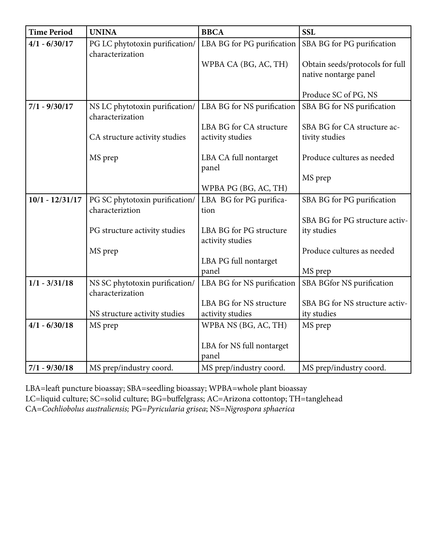| <b>Time Period</b> | <b>UNINA</b>                   | <b>BBCA</b>                | <b>SSL</b>                      |
|--------------------|--------------------------------|----------------------------|---------------------------------|
| $4/1 - 6/30/17$    | PG LC phytotoxin purification/ | LBA BG for PG purification | SBA BG for PG purification      |
|                    | characterization               |                            |                                 |
|                    |                                | WPBA CA (BG, AC, TH)       | Obtain seeds/protocols for full |
|                    |                                |                            | native nontarge panel           |
|                    |                                |                            | Produce SC of PG, NS            |
| $7/1 - 9/30/17$    | NS LC phytotoxin purification/ | LBA BG for NS purification | SBA BG for NS purification      |
|                    | characterization               |                            |                                 |
|                    |                                | LBA BG for CA structure    | SBA BG for CA structure ac-     |
|                    | CA structure activity studies  | activity studies           | tivity studies                  |
|                    | MS prep                        | LBA CA full nontarget      | Produce cultures as needed      |
|                    |                                | panel                      |                                 |
|                    |                                |                            | MS prep                         |
|                    |                                | WPBA PG (BG, AC, TH)       |                                 |
| $10/1 - 12/31/17$  | PG SC phytotoxin purification/ | LBA BG for PG purifica-    | SBA BG for PG purification      |
|                    | characteriztion                | tion                       |                                 |
|                    |                                |                            | SBA BG for PG structure activ-  |
|                    | PG structure activity studies  | LBA BG for PG structure    | ity studies                     |
|                    | MS prep                        | activity studies           | Produce cultures as needed      |
|                    |                                | LBA PG full nontarget      |                                 |
|                    |                                | panel                      | MS prep                         |
| $1/1 - 3/31/18$    | NS SC phytotoxin purification/ | LBA BG for NS purification | SBA BGfor NS purification       |
|                    | characterization               |                            |                                 |
|                    |                                | LBA BG for NS structure    | SBA BG for NS structure activ-  |
|                    | NS structure activity studies  | activity studies           | ity studies                     |
| $4/1 - 6/30/18$    | MS prep                        | WPBA NS (BG, AC, TH)       | MS prep                         |
|                    |                                |                            |                                 |
|                    |                                | LBA for NS full nontarget  |                                 |
|                    |                                | panel                      |                                 |
| $7/1 - 9/30/18$    | MS prep/industry coord.        | MS prep/industry coord.    | MS prep/industry coord.         |

LBA=leaft puncture bioassay; SBA=seedling bioassay; WPBA=whole plant bioassay LC=liquid culture; SC=solid culture; BG=buffelgrass; AC=Arizona cottontop; TH=tanglehead CA=*Cochliobolus australiensis;* PG=*Pyricularia grisea*; NS=*Nigrospora sphaerica*